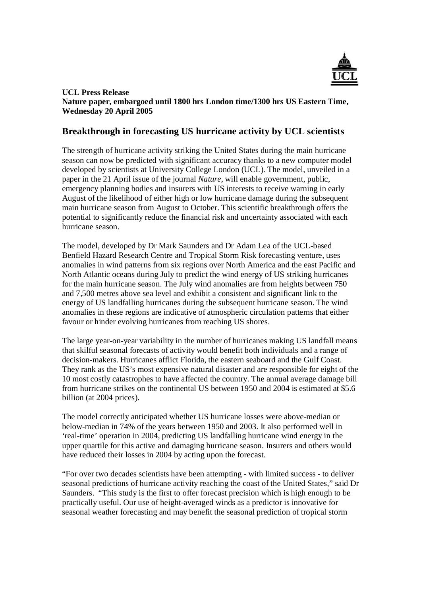

## **UCL Press Release Nature paper, embargoed until 1800 hrs London time/1300 hrs US Eastern Time, Wednesday 20 April 2005**

# **Breakthrough in forecasting US hurricane activity by UCL scientists**

The strength of hurricane activity striking the United States during the main hurricane season can now be predicted with significant accuracy thanks to a new computer model developed by scientists at University College London (UCL). The model, unveiled in a paper in the 21 April issue of the journal *Nature*, will enable government, public, emergency planning bodies and insurers with US interests to receive warning in early August of the likelihood of either high or low hurricane damage during the subsequent main hurricane season from August to October. This scientific breakthrough offers the potential to significantly reduce the financial risk and uncertainty associated with each hurricane season.

The model, developed by Dr Mark Saunders and Dr Adam Lea of the UCL-based Benfield Hazard Research Centre and Tropical Storm Risk forecasting venture, uses anomalies in wind patterns from six regions over North America and the east Pacific and North Atlantic oceans during July to predict the wind energy of US striking hurricanes for the main hurricane season. The July wind anomalies are from heights between 750 and 7,500 metres above sea level and exhibit a consistent and significant link to the energy of US landfalling hurricanes during the subsequent hurricane season. The wind anomalies in these regions are indicative of atmospheric circulation patterns that either favour or hinder evolving hurricanes from reaching US shores.

The large year-on-year variability in the number of hurricanes making US landfall means that skilful seasonal forecasts of activity would benefit both individuals and a range of decision-makers. Hurricanes afflict Florida, the eastern seaboard and the Gulf Coast. They rank as the US's most expensive natural disaster and are responsible for eight of the 10 most costly catastrophes to have affected the country. The annual average damage bill from hurricane strikes on the continental US between 1950 and 2004 is estimated at \$5.6 billion (at 2004 prices).

The model correctly anticipated whether US hurricane losses were above-median or below-median in 74% of the years between 1950 and 2003. It also performed well in 'real-time' operation in 2004, predicting US landfalling hurricane wind energy in the upper quartile for this active and damaging hurricane season. Insurers and others would have reduced their losses in 2004 by acting upon the forecast.

"For over two decades scientists have been attempting - with limited success - to deliver seasonal predictions of hurricane activity reaching the coast of the United States," said Dr Saunders. "This study is the first to offer forecast precision which is high enough to be practically useful. Our use of height-averaged winds as a predictor is innovative for seasonal weather forecasting and may benefit the seasonal prediction of tropical storm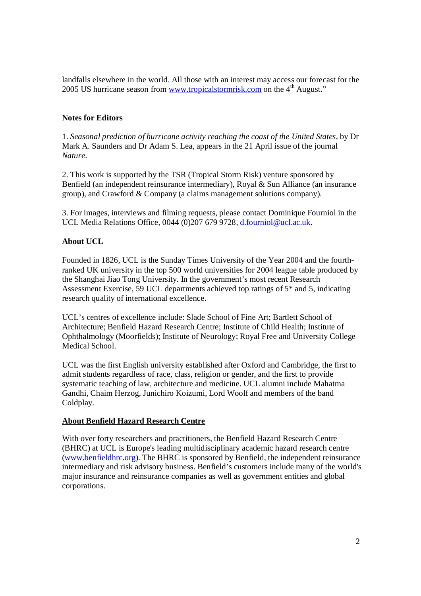landfalls elsewhere in the world. All those with an interest may access our forecast for the 2005 US hurricane season from www.tropicalstormrisk.com on the 4<sup>th</sup> August."

## **Notes for Editors**

1. *Seasonal prediction of hurricane activity reaching the coast of the United States*, by Dr Mark A. Saunders and Dr Adam S. Lea, appears in the 21 April issue of the journal *Nature*.

2. This work is supported by the TSR (Tropical Storm Risk) venture sponsored by Benfield (an independent reinsurance intermediary), Royal & Sun Alliance (an insurance group), and Crawford & Company (a claims management solutions company).

3. For images, interviews and filming requests, please contact Dominique Fourniol in the UCL Media Relations Office, 0044 (0)207 679 9728, d.fourniol@ucl.ac.uk.

# **About UCL**

Founded in 1826, UCL is the Sunday Times University of the Year 2004 and the fourthranked UK university in the top 500 world universities for 2004 league table produced by the Shanghai Jiao Tong University. In the government's most recent Research Assessment Exercise, 59 UCL departments achieved top ratings of 5\* and 5, indicating research quality of international excellence.

UCL's centres of excellence include: Slade School of Fine Art; Bartlett School of Architecture; Benfield Hazard Research Centre; Institute of Child Health; Institute of Ophthalmology (Moorfields); Institute of Neurology; Royal Free and University College Medical School.

UCL was the first English university established after Oxford and Cambridge, the first to admit students regardless of race, class, religion or gender, and the first to provide systematic teaching of law, architecture and medicine. UCL alumni include Mahatma Gandhi, Chaim Herzog, Junichiro Koizumi, Lord Woolf and members of the band Coldplay.

# **About Benfield Hazard Research Centre**

With over forty researchers and practitioners, the Benfield Hazard Research Centre (BHRC) at UCL is Europe's leading multidisciplinary academic hazard research centre (www.benfieldhrc.org). The BHRC is sponsored by Benfield, the independent reinsurance intermediary and risk advisory business. Benfield's customers include many of the world's major insurance and reinsurance companies as well as government entities and global corporations.